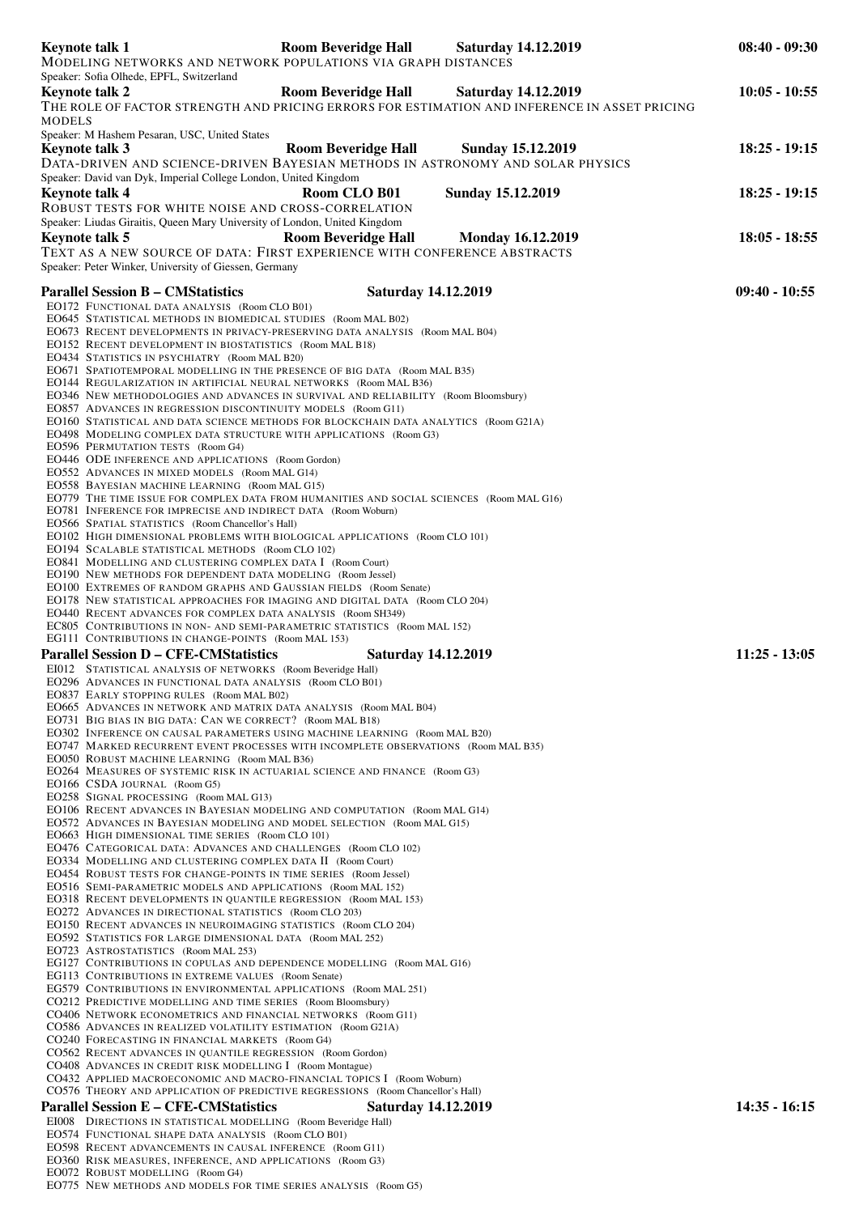|        | Keynote talk 1<br>MODELING NETWORKS AND NETWORK POPULATIONS VIA GRAPH DISTANCES                                                                                                                                                                                                                                                                                                                                                                                                                                                                                                                                                                                                                                                                                                                                                                                                                                                                                                                                                                                                                                                                                                                                                                                                                                                                                                                                                                                                                                                                                                                                                                                                                                                                                                                                                                                                                                                                                                                                                                                                                                                                                                                                                                                                                                                                                                                                                                                                                                                                                                                                                                                                                                                                                                                                                                                                                                                                                                                                                                                                                                                                                                                                                 | <b>Room Beveridge Hall</b>                               | <b>Saturday 14.12.2019</b> | $08:40 - 09:30$                    |
|--------|---------------------------------------------------------------------------------------------------------------------------------------------------------------------------------------------------------------------------------------------------------------------------------------------------------------------------------------------------------------------------------------------------------------------------------------------------------------------------------------------------------------------------------------------------------------------------------------------------------------------------------------------------------------------------------------------------------------------------------------------------------------------------------------------------------------------------------------------------------------------------------------------------------------------------------------------------------------------------------------------------------------------------------------------------------------------------------------------------------------------------------------------------------------------------------------------------------------------------------------------------------------------------------------------------------------------------------------------------------------------------------------------------------------------------------------------------------------------------------------------------------------------------------------------------------------------------------------------------------------------------------------------------------------------------------------------------------------------------------------------------------------------------------------------------------------------------------------------------------------------------------------------------------------------------------------------------------------------------------------------------------------------------------------------------------------------------------------------------------------------------------------------------------------------------------------------------------------------------------------------------------------------------------------------------------------------------------------------------------------------------------------------------------------------------------------------------------------------------------------------------------------------------------------------------------------------------------------------------------------------------------------------------------------------------------------------------------------------------------------------------------------------------------------------------------------------------------------------------------------------------------------------------------------------------------------------------------------------------------------------------------------------------------------------------------------------------------------------------------------------------------------------------------------------------------------------------------------------------------|----------------------------------------------------------|----------------------------|------------------------------------|
| MODELS | Speaker: Sofia Olhede, EPFL, Switzerland<br>Keynote talk 2<br>THE ROLE OF FACTOR STRENGTH AND PRICING ERRORS FOR ESTIMATION AND INFERENCE IN ASSET PRICING                                                                                                                                                                                                                                                                                                                                                                                                                                                                                                                                                                                                                                                                                                                                                                                                                                                                                                                                                                                                                                                                                                                                                                                                                                                                                                                                                                                                                                                                                                                                                                                                                                                                                                                                                                                                                                                                                                                                                                                                                                                                                                                                                                                                                                                                                                                                                                                                                                                                                                                                                                                                                                                                                                                                                                                                                                                                                                                                                                                                                                                                      | Room Beveridge Hall Saturday 14.12.2019                  |                            | $10:05 - 10:55$                    |
|        | Speaker: M Hashem Pesaran, USC, United States<br>Keynote talk 3<br>DATA-DRIVEN AND SCIENCE-DRIVEN BAYESIAN METHODS IN ASTRONOMY AND SOLAR PHYSICS                                                                                                                                                                                                                                                                                                                                                                                                                                                                                                                                                                                                                                                                                                                                                                                                                                                                                                                                                                                                                                                                                                                                                                                                                                                                                                                                                                                                                                                                                                                                                                                                                                                                                                                                                                                                                                                                                                                                                                                                                                                                                                                                                                                                                                                                                                                                                                                                                                                                                                                                                                                                                                                                                                                                                                                                                                                                                                                                                                                                                                                                               | <b>Room Beveridge Hall</b>                               | <b>Sunday 15.12.2019</b>   | $18:25 - 19:15$                    |
|        | Speaker: David van Dyk, Imperial College London, United Kingdom<br>Keynote talk 4<br>ROBUST TESTS FOR WHITE NOISE AND CROSS-CORRELATION                                                                                                                                                                                                                                                                                                                                                                                                                                                                                                                                                                                                                                                                                                                                                                                                                                                                                                                                                                                                                                                                                                                                                                                                                                                                                                                                                                                                                                                                                                                                                                                                                                                                                                                                                                                                                                                                                                                                                                                                                                                                                                                                                                                                                                                                                                                                                                                                                                                                                                                                                                                                                                                                                                                                                                                                                                                                                                                                                                                                                                                                                         | Room CLO B01                                             | <b>Sunday 15.12.2019</b>   | $18:25 - 19:15$                    |
|        | Speaker: Liudas Giraitis, Queen Mary University of London, United Kingdom<br>Keynote talk 5<br>TEXT AS A NEW SOURCE OF DATA: FIRST EXPERIENCE WITH CONFERENCE ABSTRACTS<br>Speaker: Peter Winker, University of Giessen, Germany                                                                                                                                                                                                                                                                                                                                                                                                                                                                                                                                                                                                                                                                                                                                                                                                                                                                                                                                                                                                                                                                                                                                                                                                                                                                                                                                                                                                                                                                                                                                                                                                                                                                                                                                                                                                                                                                                                                                                                                                                                                                                                                                                                                                                                                                                                                                                                                                                                                                                                                                                                                                                                                                                                                                                                                                                                                                                                                                                                                                | <b>Room Beveridge Hall</b>                               | <b>Monday 16.12.2019</b>   | $18:05 - 18:55$                    |
|        | <b>Parallel Session B - CMStatistics</b><br>EO172 FUNCTIONAL DATA ANALYSIS (Room CLO B01)<br>EO645 STATISTICAL METHODS IN BIOMEDICAL STUDIES (Room MAL B02)<br>EO673 RECENT DEVELOPMENTS IN PRIVACY-PRESERVING DATA ANALYSIS (Room MAL B04)<br>EO152 RECENT DEVELOPMENT IN BIOSTATISTICS (Room MAL B18)<br>EO434 STATISTICS IN PSYCHIATRY (Room MAL B20)<br>EO671 SPATIOTEMPORAL MODELLING IN THE PRESENCE OF BIG DATA (Room MAL B35)<br>EO144 REGULARIZATION IN ARTIFICIAL NEURAL NETWORKS (Room MAL B36)<br>EO346 NEW METHODOLOGIES AND ADVANCES IN SURVIVAL AND RELIABILITY (Room Bloomsbury)<br>EO857 ADVANCES IN REGRESSION DISCONTINUITY MODELS (Room G11)<br>EO160 STATISTICAL AND DATA SCIENCE METHODS FOR BLOCKCHAIN DATA ANALYTICS (Room G21A)<br>EO498 MODELING COMPLEX DATA STRUCTURE WITH APPLICATIONS (Room G3)<br>EO596 PERMUTATION TESTS (Room G4)<br>EO446 ODE INFERENCE AND APPLICATIONS (Room Gordon)<br>EO552 ADVANCES IN MIXED MODELS (Room MAL G14)<br>EO558 BAYESIAN MACHINE LEARNING (Room MAL G15)<br>EO779 THE TIME ISSUE FOR COMPLEX DATA FROM HUMANITIES AND SOCIAL SCIENCES (Room MAL G16)<br>EO781 INFERENCE FOR IMPRECISE AND INDIRECT DATA (Room Woburn)<br>EO566 SPATIAL STATISTICS (Room Chancellor's Hall)<br>EO102 HIGH DIMENSIONAL PROBLEMS WITH BIOLOGICAL APPLICATIONS (Room CLO 101)<br>EO194 SCALABLE STATISTICAL METHODS (Room CLO 102)<br>EO841 MODELLING AND CLUSTERING COMPLEX DATA I (Room Court)<br>EO190 NEW METHODS FOR DEPENDENT DATA MODELING (Room Jessel)<br>EO100 EXTREMES OF RANDOM GRAPHS AND GAUSSIAN FIELDS (Room Senate)<br>EO178 NEW STATISTICAL APPROACHES FOR IMAGING AND DIGITAL DATA (Room CLO 204)<br>EO440 RECENT ADVANCES FOR COMPLEX DATA ANALYSIS (Room SH349)<br>EC805 CONTRIBUTIONS IN NON-AND SEMI-PARAMETRIC STATISTICS (Room MAL 152)<br>EG111 CONTRIBUTIONS IN CHANGE-POINTS (Room MAL 153)<br><b>Parallel Session D – CFE-CMStatistics</b><br>EI012 STATISTICAL ANALYSIS OF NETWORKS (Room Beveridge Hall)<br>EO296 ADVANCES IN FUNCTIONAL DATA ANALYSIS (Room CLO B01)<br>EO837 EARLY STOPPING RULES (Room MAL B02)<br>EO665 ADVANCES IN NETWORK AND MATRIX DATA ANALYSIS (Room MAL B04)<br>EO731 BIG BIAS IN BIG DATA: CAN WE CORRECT? (Room MAL B18)<br>EO302 INFERENCE ON CAUSAL PARAMETERS USING MACHINE LEARNING (Room MAL B20)<br>EO747 MARKED RECURRENT EVENT PROCESSES WITH INCOMPLETE OBSERVATIONS (Room MAL B35)<br>EO050 ROBUST MACHINE LEARNING (Room MAL B36)<br>EO264 MEASURES OF SYSTEMIC RISK IN ACTUARIAL SCIENCE AND FINANCE (Room G3)<br>EO166 CSDA JOURNAL (Room G5)<br>EO258 SIGNAL PROCESSING (Room MAL G13)<br>EO106 RECENT ADVANCES IN BAYESIAN MODELING AND COMPUTATION (Room MAL G14)<br>EO572 ADVANCES IN BAYESIAN MODELING AND MODEL SELECTION (Room MAL G15)<br>EO663 HIGH DIMENSIONAL TIME SERIES (Room CLO 101)<br>EO476 CATEGORICAL DATA: ADVANCES AND CHALLENGES (Room CLO 102)<br>EO334 MODELLING AND CLUSTERING COMPLEX DATA II (Room Court)<br>EO454 ROBUST TESTS FOR CHANGE-POINTS IN TIME SERIES (Room Jessel)<br>EO516 SEMI-PARAMETRIC MODELS AND APPLICATIONS (Room MAL 152)<br>EO318 RECENT DEVELOPMENTS IN QUANTILE REGRESSION (Room MAL 153)<br>EO272 ADVANCES IN DIRECTIONAL STATISTICS (Room CLO 203) | <b>Saturday 14.12.2019</b><br><b>Saturday 14.12.2019</b> |                            | $09:40 - 10:55$<br>$11:25 - 13:05$ |
|        | EO150 RECENT ADVANCES IN NEUROIMAGING STATISTICS (Room CLO 204)<br>EO592 STATISTICS FOR LARGE DIMENSIONAL DATA (Room MAL 252)<br>EO723 ASTROSTATISTICS (Room MAL 253)<br>EG127 CONTRIBUTIONS IN COPULAS AND DEPENDENCE MODELLING (Room MAL G16)<br>EG113 CONTRIBUTIONS IN EXTREME VALUES (Room Senate)<br>EG579 CONTRIBUTIONS IN ENVIRONMENTAL APPLICATIONS (Room MAL 251)                                                                                                                                                                                                                                                                                                                                                                                                                                                                                                                                                                                                                                                                                                                                                                                                                                                                                                                                                                                                                                                                                                                                                                                                                                                                                                                                                                                                                                                                                                                                                                                                                                                                                                                                                                                                                                                                                                                                                                                                                                                                                                                                                                                                                                                                                                                                                                                                                                                                                                                                                                                                                                                                                                                                                                                                                                                      |                                                          |                            |                                    |
|        | CO212 PREDICTIVE MODELLING AND TIME SERIES (Room Bloomsbury)<br>CO406 NETWORK ECONOMETRICS AND FINANCIAL NETWORKS (Room G11)<br>CO586 ADVANCES IN REALIZED VOLATILITY ESTIMATION (Room G21A)<br>CO240 FORECASTING IN FINANCIAL MARKETS (Room G4)<br>CO562 RECENT ADVANCES IN QUANTILE REGRESSION (Room Gordon)<br>CO408 ADVANCES IN CREDIT RISK MODELLING I (Room Montague)<br>CO432 APPLIED MACROECONOMIC AND MACRO-FINANCIAL TOPICS I (Room Woburn)<br>CO576 THEORY AND APPLICATION OF PREDICTIVE REGRESSIONS (Room Chancellor's Hall)                                                                                                                                                                                                                                                                                                                                                                                                                                                                                                                                                                                                                                                                                                                                                                                                                                                                                                                                                                                                                                                                                                                                                                                                                                                                                                                                                                                                                                                                                                                                                                                                                                                                                                                                                                                                                                                                                                                                                                                                                                                                                                                                                                                                                                                                                                                                                                                                                                                                                                                                                                                                                                                                                        |                                                          |                            |                                    |
|        | <b>Parallel Session E – CFE-CMStatistics</b>                                                                                                                                                                                                                                                                                                                                                                                                                                                                                                                                                                                                                                                                                                                                                                                                                                                                                                                                                                                                                                                                                                                                                                                                                                                                                                                                                                                                                                                                                                                                                                                                                                                                                                                                                                                                                                                                                                                                                                                                                                                                                                                                                                                                                                                                                                                                                                                                                                                                                                                                                                                                                                                                                                                                                                                                                                                                                                                                                                                                                                                                                                                                                                                    | <b>Saturday 14.12.2019</b>                               |                            | $14:35 - 16:15$                    |
|        | EI008 DIRECTIONS IN STATISTICAL MODELLING (Room Beveridge Hall)                                                                                                                                                                                                                                                                                                                                                                                                                                                                                                                                                                                                                                                                                                                                                                                                                                                                                                                                                                                                                                                                                                                                                                                                                                                                                                                                                                                                                                                                                                                                                                                                                                                                                                                                                                                                                                                                                                                                                                                                                                                                                                                                                                                                                                                                                                                                                                                                                                                                                                                                                                                                                                                                                                                                                                                                                                                                                                                                                                                                                                                                                                                                                                 |                                                          |                            |                                    |
|        | EO574 FUNCTIONAL SHAPE DATA ANALYSIS (Room CLO B01)<br>EO598 RECENT ADVANCEMENTS IN CAUSAL INFERENCE (Room G11)<br>EO360 RISK MEASURES, INFERENCE, AND APPLICATIONS (Room G3)                                                                                                                                                                                                                                                                                                                                                                                                                                                                                                                                                                                                                                                                                                                                                                                                                                                                                                                                                                                                                                                                                                                                                                                                                                                                                                                                                                                                                                                                                                                                                                                                                                                                                                                                                                                                                                                                                                                                                                                                                                                                                                                                                                                                                                                                                                                                                                                                                                                                                                                                                                                                                                                                                                                                                                                                                                                                                                                                                                                                                                                   |                                                          |                            |                                    |

EO072 ROBUST MODELLING (Room G4)

EO775 NEW METHODS AND MODELS FOR TIME SERIES ANALYSIS (Room G5)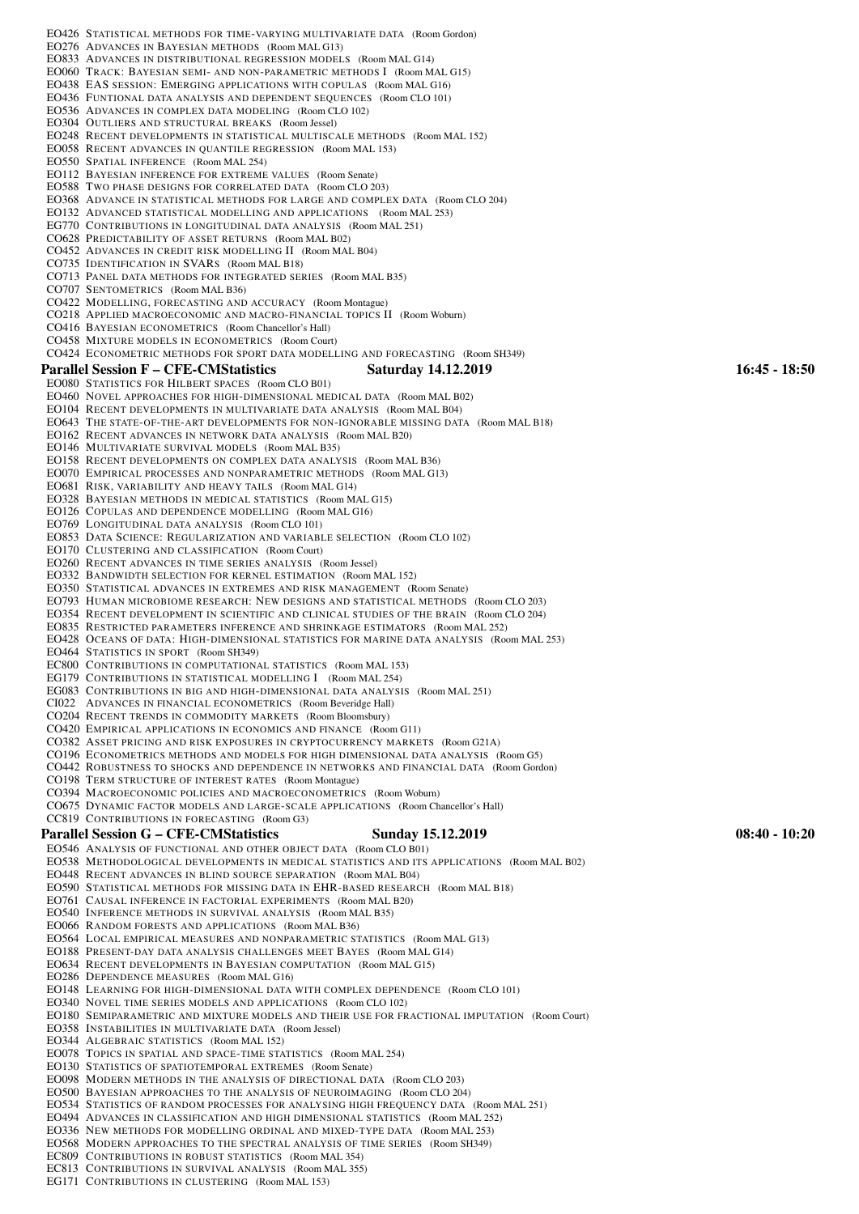| EO426 STATISTICAL METHODS FOR TIME-VARYING MULTIVARIATE DATA (Room Gordon)<br>EO276 ADVANCES IN BAYESIAN METHODS (Room MAL G13)<br>EO833 ADVANCES IN DISTRIBUTIONAL REGRESSION MODELS (Room MAL G14)<br>EO060 TRACK: BAYESIAN SEMI- AND NON-PARAMETRIC METHODS I (Room MAL G15)<br>EO438 EAS SESSION: EMERGING APPLICATIONS WITH COPULAS (Room MAL G16)<br>EO436 FUNTIONAL DATA ANALYSIS AND DEPENDENT SEQUENCES (Room CLO 101)<br>EO536 ADVANCES IN COMPLEX DATA MODELING (Room CLO 102)<br>EO304 OUTLIERS AND STRUCTURAL BREAKS (Room Jessel)<br>EO248 RECENT DEVELOPMENTS IN STATISTICAL MULTISCALE METHODS (Room MAL 152)<br>EO058 RECENT ADVANCES IN QUANTILE REGRESSION (Room MAL 153)<br>EO550 SPATIAL INFERENCE (Room MAL 254)<br><b>EO112 BAYESIAN INFERENCE FOR EXTREME VALUES</b> (Room Senate)<br>EO588 TWO PHASE DESIGNS FOR CORRELATED DATA (Room CLO 203)<br>EO368 ADVANCE IN STATISTICAL METHODS FOR LARGE AND COMPLEX DATA (Room CLO 204)<br>EO132 ADVANCED STATISTICAL MODELLING AND APPLICATIONS (Room MAL 253)<br>EG770 CONTRIBUTIONS IN LONGITUDINAL DATA ANALYSIS (Room MAL 251)<br>CO628 PREDICTABILITY OF ASSET RETURNS (Room MAL B02)<br>CO452 ADVANCES IN CREDIT RISK MODELLING II (Room MAL B04)<br>CO735 IDENTIFICATION IN SVARS (Room MAL B18)<br>CO713 PANEL DATA METHODS FOR INTEGRATED SERIES (Room MAL B35)<br>CO707 SENTOMETRICS (Room MAL B36)<br>CO422 MODELLING, FORECASTING AND ACCURACY (Room Montague)<br>CO218 APPLIED MACROECONOMIC AND MACRO-FINANCIAL TOPICS II (Room Woburn)<br>CO416 BAYESIAN ECONOMETRICS (Room Chancellor's Hall)<br>CO458 MIXTURE MODELS IN ECONOMETRICS (Room Court) |                 |  |  |  |
|----------------------------------------------------------------------------------------------------------------------------------------------------------------------------------------------------------------------------------------------------------------------------------------------------------------------------------------------------------------------------------------------------------------------------------------------------------------------------------------------------------------------------------------------------------------------------------------------------------------------------------------------------------------------------------------------------------------------------------------------------------------------------------------------------------------------------------------------------------------------------------------------------------------------------------------------------------------------------------------------------------------------------------------------------------------------------------------------------------------------------------------------------------------------------------------------------------------------------------------------------------------------------------------------------------------------------------------------------------------------------------------------------------------------------------------------------------------------------------------------------------------------------------------------------------------------------------------------------------------------------------------|-----------------|--|--|--|
| CO424 ECONOMETRIC METHODS FOR SPORT DATA MODELLING AND FORECASTING (Room SH349)                                                                                                                                                                                                                                                                                                                                                                                                                                                                                                                                                                                                                                                                                                                                                                                                                                                                                                                                                                                                                                                                                                                                                                                                                                                                                                                                                                                                                                                                                                                                                        |                 |  |  |  |
| <b>Parallel Session F – CFE-CMStatistics</b><br><b>Saturday 14.12.2019</b>                                                                                                                                                                                                                                                                                                                                                                                                                                                                                                                                                                                                                                                                                                                                                                                                                                                                                                                                                                                                                                                                                                                                                                                                                                                                                                                                                                                                                                                                                                                                                             | $16:45 - 18:50$ |  |  |  |
| EO080 STATISTICS FOR HILBERT SPACES (Room CLO B01)<br>EO460 NOVEL APPROACHES FOR HIGH-DIMENSIONAL MEDICAL DATA (Room MAL B02)                                                                                                                                                                                                                                                                                                                                                                                                                                                                                                                                                                                                                                                                                                                                                                                                                                                                                                                                                                                                                                                                                                                                                                                                                                                                                                                                                                                                                                                                                                          |                 |  |  |  |
| EO104 RECENT DEVELOPMENTS IN MULTIVARIATE DATA ANALYSIS (Room MAL B04)                                                                                                                                                                                                                                                                                                                                                                                                                                                                                                                                                                                                                                                                                                                                                                                                                                                                                                                                                                                                                                                                                                                                                                                                                                                                                                                                                                                                                                                                                                                                                                 |                 |  |  |  |
| EO643 THE STATE-OF-THE-ART DEVELOPMENTS FOR NON-IGNORABLE MISSING DATA (Room MAL B18)<br>EO162 RECENT ADVANCES IN NETWORK DATA ANALYSIS (Room MAL B20)                                                                                                                                                                                                                                                                                                                                                                                                                                                                                                                                                                                                                                                                                                                                                                                                                                                                                                                                                                                                                                                                                                                                                                                                                                                                                                                                                                                                                                                                                 |                 |  |  |  |
| EO146 MULTIVARIATE SURVIVAL MODELS (Room MAL B35)                                                                                                                                                                                                                                                                                                                                                                                                                                                                                                                                                                                                                                                                                                                                                                                                                                                                                                                                                                                                                                                                                                                                                                                                                                                                                                                                                                                                                                                                                                                                                                                      |                 |  |  |  |
| EO158 RECENT DEVELOPMENTS ON COMPLEX DATA ANALYSIS (Room MAL B36)                                                                                                                                                                                                                                                                                                                                                                                                                                                                                                                                                                                                                                                                                                                                                                                                                                                                                                                                                                                                                                                                                                                                                                                                                                                                                                                                                                                                                                                                                                                                                                      |                 |  |  |  |
| EO070 EMPIRICAL PROCESSES AND NONPARAMETRIC METHODS (Room MAL G13)<br>EO681 RISK, VARIABILITY AND HEAVY TAILS (Room MAL G14)                                                                                                                                                                                                                                                                                                                                                                                                                                                                                                                                                                                                                                                                                                                                                                                                                                                                                                                                                                                                                                                                                                                                                                                                                                                                                                                                                                                                                                                                                                           |                 |  |  |  |
| EO328 BAYESIAN METHODS IN MEDICAL STATISTICS (Room MAL G15)                                                                                                                                                                                                                                                                                                                                                                                                                                                                                                                                                                                                                                                                                                                                                                                                                                                                                                                                                                                                                                                                                                                                                                                                                                                                                                                                                                                                                                                                                                                                                                            |                 |  |  |  |
| EO126 COPULAS AND DEPENDENCE MODELLING (Room MAL G16)<br>EO769 LONGITUDINAL DATA ANALYSIS (Room CLO 101)                                                                                                                                                                                                                                                                                                                                                                                                                                                                                                                                                                                                                                                                                                                                                                                                                                                                                                                                                                                                                                                                                                                                                                                                                                                                                                                                                                                                                                                                                                                               |                 |  |  |  |
| EO853 DATA SCIENCE: REGULARIZATION AND VARIABLE SELECTION (Room CLO 102)                                                                                                                                                                                                                                                                                                                                                                                                                                                                                                                                                                                                                                                                                                                                                                                                                                                                                                                                                                                                                                                                                                                                                                                                                                                                                                                                                                                                                                                                                                                                                               |                 |  |  |  |
| EO170 CLUSTERING AND CLASSIFICATION (Room Court)                                                                                                                                                                                                                                                                                                                                                                                                                                                                                                                                                                                                                                                                                                                                                                                                                                                                                                                                                                                                                                                                                                                                                                                                                                                                                                                                                                                                                                                                                                                                                                                       |                 |  |  |  |
| EO260 RECENT ADVANCES IN TIME SERIES ANALYSIS (Room Jessel)<br>EO332 BANDWIDTH SELECTION FOR KERNEL ESTIMATION (Room MAL 152)                                                                                                                                                                                                                                                                                                                                                                                                                                                                                                                                                                                                                                                                                                                                                                                                                                                                                                                                                                                                                                                                                                                                                                                                                                                                                                                                                                                                                                                                                                          |                 |  |  |  |
| EO350 STATISTICAL ADVANCES IN EXTREMES AND RISK MANAGEMENT (Room Senate)                                                                                                                                                                                                                                                                                                                                                                                                                                                                                                                                                                                                                                                                                                                                                                                                                                                                                                                                                                                                                                                                                                                                                                                                                                                                                                                                                                                                                                                                                                                                                               |                 |  |  |  |
| EO793 HUMAN MICROBIOME RESEARCH: NEW DESIGNS AND STATISTICAL METHODS (Room CLO 203)<br>EO354 RECENT DEVELOPMENT IN SCIENTIFIC AND CLINICAL STUDIES OF THE BRAIN (Room CLO 204)                                                                                                                                                                                                                                                                                                                                                                                                                                                                                                                                                                                                                                                                                                                                                                                                                                                                                                                                                                                                                                                                                                                                                                                                                                                                                                                                                                                                                                                         |                 |  |  |  |
| EO835 RESTRICTED PARAMETERS INFERENCE AND SHRINKAGE ESTIMATORS (Room MAL 252)                                                                                                                                                                                                                                                                                                                                                                                                                                                                                                                                                                                                                                                                                                                                                                                                                                                                                                                                                                                                                                                                                                                                                                                                                                                                                                                                                                                                                                                                                                                                                          |                 |  |  |  |
| EO428 OCEANS OF DATA: HIGH-DIMENSIONAL STATISTICS FOR MARINE DATA ANALYSIS (Room MAL 253)                                                                                                                                                                                                                                                                                                                                                                                                                                                                                                                                                                                                                                                                                                                                                                                                                                                                                                                                                                                                                                                                                                                                                                                                                                                                                                                                                                                                                                                                                                                                              |                 |  |  |  |
| EO464 STATISTICS IN SPORT (Room SH349)<br>EC800 CONTRIBUTIONS IN COMPUTATIONAL STATISTICS (Room MAL 153)                                                                                                                                                                                                                                                                                                                                                                                                                                                                                                                                                                                                                                                                                                                                                                                                                                                                                                                                                                                                                                                                                                                                                                                                                                                                                                                                                                                                                                                                                                                               |                 |  |  |  |
| EG179 CONTRIBUTIONS IN STATISTICAL MODELLING I (Room MAL 254)                                                                                                                                                                                                                                                                                                                                                                                                                                                                                                                                                                                                                                                                                                                                                                                                                                                                                                                                                                                                                                                                                                                                                                                                                                                                                                                                                                                                                                                                                                                                                                          |                 |  |  |  |
| EG083 CONTRIBUTIONS IN BIG AND HIGH-DIMENSIONAL DATA ANALYSIS (Room MAL 251)                                                                                                                                                                                                                                                                                                                                                                                                                                                                                                                                                                                                                                                                                                                                                                                                                                                                                                                                                                                                                                                                                                                                                                                                                                                                                                                                                                                                                                                                                                                                                           |                 |  |  |  |
| CI022 ADVANCES IN FINANCIAL ECONOMETRICS (Room Beveridge Hall)<br>CO204 RECENT TRENDS IN COMMODITY MARKETS (Room Bloomsbury)                                                                                                                                                                                                                                                                                                                                                                                                                                                                                                                                                                                                                                                                                                                                                                                                                                                                                                                                                                                                                                                                                                                                                                                                                                                                                                                                                                                                                                                                                                           |                 |  |  |  |
| CO420 EMPIRICAL APPLICATIONS IN ECONOMICS AND FINANCE (Room G11)                                                                                                                                                                                                                                                                                                                                                                                                                                                                                                                                                                                                                                                                                                                                                                                                                                                                                                                                                                                                                                                                                                                                                                                                                                                                                                                                                                                                                                                                                                                                                                       |                 |  |  |  |
| CO382 ASSET PRICING AND RISK EXPOSURES IN CRYPTOCURRENCY MARKETS (Room G21A)                                                                                                                                                                                                                                                                                                                                                                                                                                                                                                                                                                                                                                                                                                                                                                                                                                                                                                                                                                                                                                                                                                                                                                                                                                                                                                                                                                                                                                                                                                                                                           |                 |  |  |  |
| CO196 ECONOMETRICS METHODS AND MODELS FOR HIGH DIMENSIONAL DATA ANALYSIS (Room G5)<br>CO442 ROBUSTNESS TO SHOCKS AND DEPENDENCE IN NETWORKS AND FINANCIAL DATA (Room Gordon)                                                                                                                                                                                                                                                                                                                                                                                                                                                                                                                                                                                                                                                                                                                                                                                                                                                                                                                                                                                                                                                                                                                                                                                                                                                                                                                                                                                                                                                           |                 |  |  |  |
| CO198 TERM STRUCTURE OF INTEREST RATES (Room Montague)                                                                                                                                                                                                                                                                                                                                                                                                                                                                                                                                                                                                                                                                                                                                                                                                                                                                                                                                                                                                                                                                                                                                                                                                                                                                                                                                                                                                                                                                                                                                                                                 |                 |  |  |  |
| CO394 MACROECONOMIC POLICIES AND MACROECONOMETRICS (Room Woburn)<br>CO675 DYNAMIC FACTOR MODELS AND LARGE-SCALE APPLICATIONS (Room Chancellor's Hall)                                                                                                                                                                                                                                                                                                                                                                                                                                                                                                                                                                                                                                                                                                                                                                                                                                                                                                                                                                                                                                                                                                                                                                                                                                                                                                                                                                                                                                                                                  |                 |  |  |  |
| CC819 CONTRIBUTIONS IN FORECASTING (Room G3)                                                                                                                                                                                                                                                                                                                                                                                                                                                                                                                                                                                                                                                                                                                                                                                                                                                                                                                                                                                                                                                                                                                                                                                                                                                                                                                                                                                                                                                                                                                                                                                           |                 |  |  |  |
| <b>Parallel Session G – CFE-CMStatistics</b><br><b>Sunday 15.12.2019</b>                                                                                                                                                                                                                                                                                                                                                                                                                                                                                                                                                                                                                                                                                                                                                                                                                                                                                                                                                                                                                                                                                                                                                                                                                                                                                                                                                                                                                                                                                                                                                               | $08:40 - 10:20$ |  |  |  |
| EO546 ANALYSIS OF FUNCTIONAL AND OTHER OBJECT DATA (Room CLO B01)                                                                                                                                                                                                                                                                                                                                                                                                                                                                                                                                                                                                                                                                                                                                                                                                                                                                                                                                                                                                                                                                                                                                                                                                                                                                                                                                                                                                                                                                                                                                                                      |                 |  |  |  |
| EO538 METHODOLOGICAL DEVELOPMENTS IN MEDICAL STATISTICS AND ITS APPLICATIONS (Room MAL B02)<br>EO448 RECENT ADVANCES IN BLIND SOURCE SEPARATION (Room MAL B04)                                                                                                                                                                                                                                                                                                                                                                                                                                                                                                                                                                                                                                                                                                                                                                                                                                                                                                                                                                                                                                                                                                                                                                                                                                                                                                                                                                                                                                                                         |                 |  |  |  |
| EO590 STATISTICAL METHODS FOR MISSING DATA IN EHR-BASED RESEARCH (Room MAL B18)                                                                                                                                                                                                                                                                                                                                                                                                                                                                                                                                                                                                                                                                                                                                                                                                                                                                                                                                                                                                                                                                                                                                                                                                                                                                                                                                                                                                                                                                                                                                                        |                 |  |  |  |
| EO761 CAUSAL INFERENCE IN FACTORIAL EXPERIMENTS (Room MAL B20)<br>EO540 INFERENCE METHODS IN SURVIVAL ANALYSIS (Room MAL B35)                                                                                                                                                                                                                                                                                                                                                                                                                                                                                                                                                                                                                                                                                                                                                                                                                                                                                                                                                                                                                                                                                                                                                                                                                                                                                                                                                                                                                                                                                                          |                 |  |  |  |
| <b>EO066 RANDOM FORESTS AND APPLICATIONS (Room MAL B36)</b>                                                                                                                                                                                                                                                                                                                                                                                                                                                                                                                                                                                                                                                                                                                                                                                                                                                                                                                                                                                                                                                                                                                                                                                                                                                                                                                                                                                                                                                                                                                                                                            |                 |  |  |  |
| EO564 LOCAL EMPIRICAL MEASURES AND NONPARAMETRIC STATISTICS (Room MAL G13)                                                                                                                                                                                                                                                                                                                                                                                                                                                                                                                                                                                                                                                                                                                                                                                                                                                                                                                                                                                                                                                                                                                                                                                                                                                                                                                                                                                                                                                                                                                                                             |                 |  |  |  |
| EO188 PRESENT-DAY DATA ANALYSIS CHALLENGES MEET BAYES (Room MAL G14)<br>EO634 RECENT DEVELOPMENTS IN BAYESIAN COMPUTATION (Room MAL G15)                                                                                                                                                                                                                                                                                                                                                                                                                                                                                                                                                                                                                                                                                                                                                                                                                                                                                                                                                                                                                                                                                                                                                                                                                                                                                                                                                                                                                                                                                               |                 |  |  |  |
| EO286 DEPENDENCE MEASURES (Room MAL G16)                                                                                                                                                                                                                                                                                                                                                                                                                                                                                                                                                                                                                                                                                                                                                                                                                                                                                                                                                                                                                                                                                                                                                                                                                                                                                                                                                                                                                                                                                                                                                                                               |                 |  |  |  |
| EO148 LEARNING FOR HIGH-DIMENSIONAL DATA WITH COMPLEX DEPENDENCE (Room CLO 101)<br>EO340 NOVEL TIME SERIES MODELS AND APPLICATIONS (Room CLO 102)                                                                                                                                                                                                                                                                                                                                                                                                                                                                                                                                                                                                                                                                                                                                                                                                                                                                                                                                                                                                                                                                                                                                                                                                                                                                                                                                                                                                                                                                                      |                 |  |  |  |
| EO180 SEMIPARAMETRIC AND MIXTURE MODELS AND THEIR USE FOR FRACTIONAL IMPUTATION (Room Court)                                                                                                                                                                                                                                                                                                                                                                                                                                                                                                                                                                                                                                                                                                                                                                                                                                                                                                                                                                                                                                                                                                                                                                                                                                                                                                                                                                                                                                                                                                                                           |                 |  |  |  |
| EO358 INSTABILITIES IN MULTIVARIATE DATA (Room Jessel)                                                                                                                                                                                                                                                                                                                                                                                                                                                                                                                                                                                                                                                                                                                                                                                                                                                                                                                                                                                                                                                                                                                                                                                                                                                                                                                                                                                                                                                                                                                                                                                 |                 |  |  |  |
| EO344 ALGEBRAIC STATISTICS (Room MAL 152)<br>EO078 TOPICS IN SPATIAL AND SPACE-TIME STATISTICS (Room MAL 254)                                                                                                                                                                                                                                                                                                                                                                                                                                                                                                                                                                                                                                                                                                                                                                                                                                                                                                                                                                                                                                                                                                                                                                                                                                                                                                                                                                                                                                                                                                                          |                 |  |  |  |
| EO130 STATISTICS OF SPATIOTEMPORAL EXTREMES (Room Senate)                                                                                                                                                                                                                                                                                                                                                                                                                                                                                                                                                                                                                                                                                                                                                                                                                                                                                                                                                                                                                                                                                                                                                                                                                                                                                                                                                                                                                                                                                                                                                                              |                 |  |  |  |
| EO098 MODERN METHODS IN THE ANALYSIS OF DIRECTIONAL DATA (Room CLO 203)<br>EO500 BAYESIAN APPROACHES TO THE ANALYSIS OF NEUROIMAGING (Room CLO 204)                                                                                                                                                                                                                                                                                                                                                                                                                                                                                                                                                                                                                                                                                                                                                                                                                                                                                                                                                                                                                                                                                                                                                                                                                                                                                                                                                                                                                                                                                    |                 |  |  |  |
| EO534 STATISTICS OF RANDOM PROCESSES FOR ANALYSING HIGH FREQUENCY DATA (Room MAL 251)                                                                                                                                                                                                                                                                                                                                                                                                                                                                                                                                                                                                                                                                                                                                                                                                                                                                                                                                                                                                                                                                                                                                                                                                                                                                                                                                                                                                                                                                                                                                                  |                 |  |  |  |
| EO494 ADVANCES IN CLASSIFICATION AND HIGH DIMENSIONAL STATISTICS (Room MAL 252)                                                                                                                                                                                                                                                                                                                                                                                                                                                                                                                                                                                                                                                                                                                                                                                                                                                                                                                                                                                                                                                                                                                                                                                                                                                                                                                                                                                                                                                                                                                                                        |                 |  |  |  |
| EO336 NEW METHODS FOR MODELLING ORDINAL AND MIXED-TYPE DATA (Room MAL 253)<br>EO568 MODERN APPROACHES TO THE SPECTRAL ANALYSIS OF TIME SERIES (Room SH349)                                                                                                                                                                                                                                                                                                                                                                                                                                                                                                                                                                                                                                                                                                                                                                                                                                                                                                                                                                                                                                                                                                                                                                                                                                                                                                                                                                                                                                                                             |                 |  |  |  |
| EC809 CONTRIBUTIONS IN ROBUST STATISTICS (Room MAL 354)                                                                                                                                                                                                                                                                                                                                                                                                                                                                                                                                                                                                                                                                                                                                                                                                                                                                                                                                                                                                                                                                                                                                                                                                                                                                                                                                                                                                                                                                                                                                                                                |                 |  |  |  |
| EC813 CONTRIBUTIONS IN SURVIVAL ANALYSIS (Room MAL 355)                                                                                                                                                                                                                                                                                                                                                                                                                                                                                                                                                                                                                                                                                                                                                                                                                                                                                                                                                                                                                                                                                                                                                                                                                                                                                                                                                                                                                                                                                                                                                                                |                 |  |  |  |
| EG171 CONTRIBUTIONS IN CLUSTERING (Room MAL 153)                                                                                                                                                                                                                                                                                                                                                                                                                                                                                                                                                                                                                                                                                                                                                                                                                                                                                                                                                                                                                                                                                                                                                                                                                                                                                                                                                                                                                                                                                                                                                                                       |                 |  |  |  |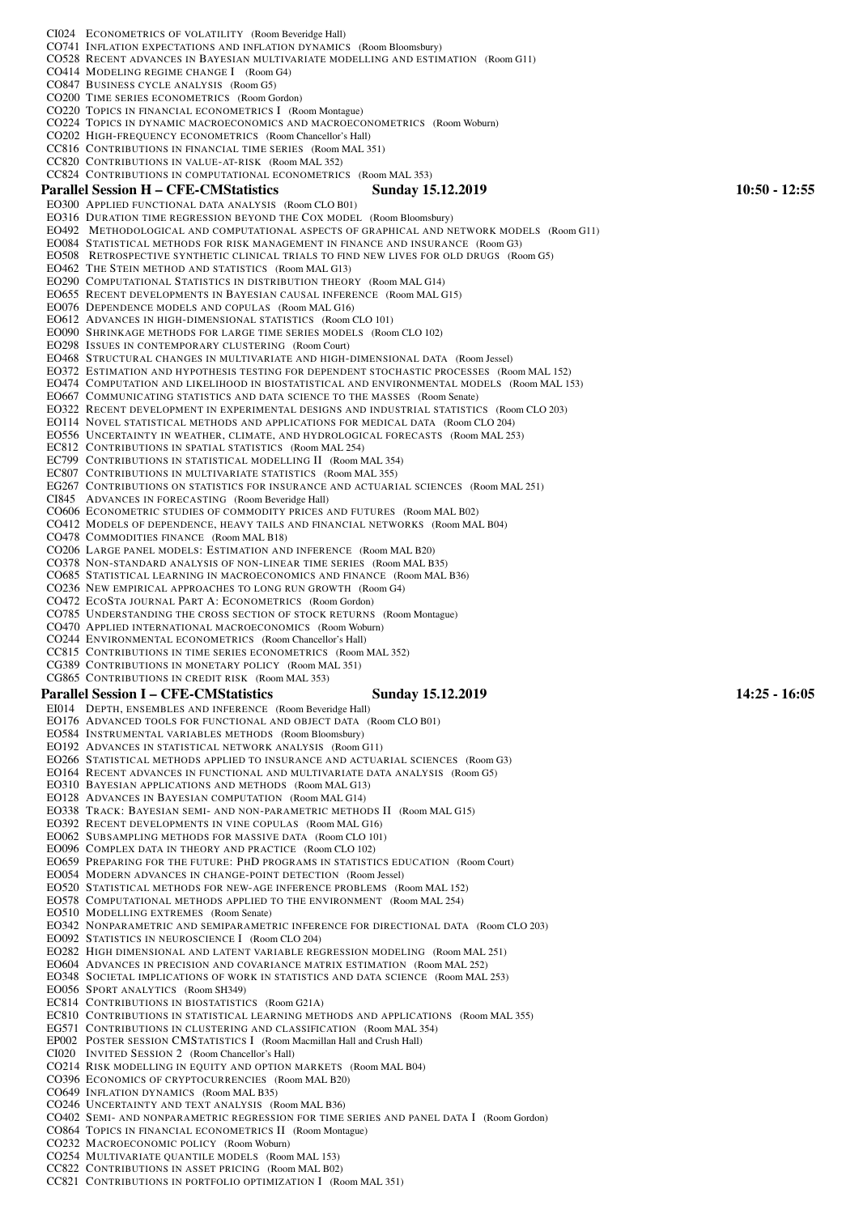CI024 ECONOMETRICS OF VOLATILITY (Room Beveridge Hall) CO741 INFLATION EXPECTATIONS AND INFLATION DYNAMICS (Room Bloomsbury) CO528 RECENT ADVANCES IN BAYESIAN MULTIVARIATE MODELLING AND ESTIMATION (Room G11) CO414 MODELING REGIME CHANGE I (Room G4) CO847 BUSINESS CYCLE ANALYSIS (Room G5) CO200 TIME SERIES ECONOMETRICS (Room Gordon) CO220 TOPICS IN FINANCIAL ECONOMETRICS I (Room Montague) CO224 TOPICS IN DYNAMIC MACROECONOMICS AND MACROECONOMETRICS (Room Woburn) CO202 HIGH-FREQUENCY ECONOMETRICS (Room Chancellor's Hall) CC816 CONTRIBUTIONS IN FINANCIAL TIME SERIES (Room MAL 351) CC820 CONTRIBUTIONS IN VALUE-AT-RISK (Room MAL 352) CC824 CONTRIBUTIONS IN COMPUTATIONAL ECONOMETRICS (Room MAL 353) Parallel Session H – CFE-CMStatistics Sunday 15.12.2019 10:50 - 12:55 EO300 APPLIED FUNCTIONAL DATA ANALYSIS (Room CLO B01) EO316 DURATION TIME REGRESSION BEYOND THE COX MODEL (Room Bloomsbury) EO492 METHODOLOGICAL AND COMPUTATIONAL ASPECTS OF GRAPHICAL AND NETWORK MODELS (Room G11) EO084 STATISTICAL METHODS FOR RISK MANAGEMENT IN FINANCE AND INSURANCE (Room G3) EO508 RETROSPECTIVE SYNTHETIC CLINICAL TRIALS TO FIND NEW LIVES FOR OLD DRUGS (Room G5) EO462 THE STEIN METHOD AND STATISTICS (Room MAL G13) EO290 COMPUTATIONAL STATISTICS IN DISTRIBUTION THEORY (Room MAL G14) EO655 RECENT DEVELOPMENTS IN BAYESIAN CAUSAL INFERENCE (Room MAL G15) EO076 DEPENDENCE MODELS AND COPULAS (Room MAL G16) EO612 ADVANCES IN HIGH-DIMENSIONAL STATISTICS (Room CLO 101) EO090 SHRINKAGE METHODS FOR LARGE TIME SERIES MODELS (Room CLO 102) EO298 ISSUES IN CONTEMPORARY CLUSTERING (Room Court) EO468 STRUCTURAL CHANGES IN MULTIVARIATE AND HIGH-DIMENSIONAL DATA (Room Jessel) EO372 ESTIMATION AND HYPOTHESIS TESTING FOR DEPENDENT STOCHASTIC PROCESSES (Room MAL 152) EO474 COMPUTATION AND LIKELIHOOD IN BIOSTATISTICAL AND ENVIRONMENTAL MODELS (Room MAL 153) EO667 COMMUNICATING STATISTICS AND DATA SCIENCE TO THE MASSES (Room Senate) EO322 RECENT DEVELOPMENT IN EXPERIMENTAL DESIGNS AND INDUSTRIAL STATISTICS (Room CLO 203) EO114 NOVEL STATISTICAL METHODS AND APPLICATIONS FOR MEDICAL DATA (Room CLO 204) EO556 UNCERTAINTY IN WEATHER, CLIMATE, AND HYDROLOGICAL FORECASTS (Room MAL 253) EC812 CONTRIBUTIONS IN SPATIAL STATISTICS (Room MAL 254) EC799 CONTRIBUTIONS IN STATISTICAL MODELLING II (Room MAL 354) EC807 CONTRIBUTIONS IN MULTIVARIATE STATISTICS (Room MAL 355) EG267 CONTRIBUTIONS ON STATISTICS FOR INSURANCE AND ACTUARIAL SCIENCES (Room MAL 251) CI845 ADVANCES IN FORECASTING (Room Beveridge Hall) CO606 ECONOMETRIC STUDIES OF COMMODITY PRICES AND FUTURES (Room MAL B02) CO412 MODELS OF DEPENDENCE, HEAVY TAILS AND FINANCIAL NETWORKS (Room MAL B04) CO478 COMMODITIES FINANCE (Room MAL B18) CO206 LARGE PANEL MODELS: ESTIMATION AND INFERENCE (Room MAL B20) CO378 NON-STANDARD ANALYSIS OF NON-LINEAR TIME SERIES (Room MAL B35) CO685 STATISTICAL LEARNING IN MACROECONOMICS AND FINANCE (Room MAL B36) CO236 NEW EMPIRICAL APPROACHES TO LONG RUN GROWTH (Room G4) CO472 ECOSTA JOURNAL PART A: ECONOMETRICS (Room Gordon) CO785 UNDERSTANDING THE CROSS SECTION OF STOCK RETURNS (Room Montague) CO470 APPLIED INTERNATIONAL MACROECONOMICS (Room Woburn) CO244 ENVIRONMENTAL ECONOMETRICS (Room Chancellor's Hall) CC815 CONTRIBUTIONS IN TIME SERIES ECONOMETRICS (Room MAL 352) CG389 CONTRIBUTIONS IN MONETARY POLICY (Room MAL 351) CG865 CONTRIBUTIONS IN CREDIT RISK (Room MAL 353) Parallel Session I – CFE-CMStatistics Sunday 15.12.2019 14:25 - 16:05 EI014 DEPTH, ENSEMBLES AND INFERENCE (Room Beveridge Hall) EO176 ADVANCED TOOLS FOR FUNCTIONAL AND OBJECT DATA (Room CLO B01) EO584 INSTRUMENTAL VARIABLES METHODS (Room Bloomsbury) EO192 ADVANCES IN STATISTICAL NETWORK ANALYSIS (Room G11) EO266 STATISTICAL METHODS APPLIED TO INSURANCE AND ACTUARIAL SCIENCES (Room G3) EO164 RECENT ADVANCES IN FUNCTIONAL AND MULTIVARIATE DATA ANALYSIS (Room G5) EO310 BAYESIAN APPLICATIONS AND METHODS (Room MAL G13) EO128 ADVANCES IN BAYESIAN COMPUTATION (Room MAL G14) EO338 TRACK: BAYESIAN SEMI- AND NON-PARAMETRIC METHODS II (Room MAL G15) EO392 RECENT DEVELOPMENTS IN VINE COPULAS (Room MAL G16) EO062 SUBSAMPLING METHODS FOR MASSIVE DATA (Room CLO 101) EO096 COMPLEX DATA IN THEORY AND PRACTICE (Room CLO 102) EO659 PREPARING FOR THE FUTURE: PHD PROGRAMS IN STATISTICS EDUCATION (Room Court) EO054 MODERN ADVANCES IN CHANGE-POINT DETECTION (Room Jessel) EO520 STATISTICAL METHODS FOR NEW-AGE INFERENCE PROBLEMS (Room MAL 152) EO578 COMPUTATIONAL METHODS APPLIED TO THE ENVIRONMENT (Room MAL 254) EO510 MODELLING EXTREMES (Room Senate) EO342 NONPARAMETRIC AND SEMIPARAMETRIC INFERENCE FOR DIRECTIONAL DATA (Room CLO 203) EO092 STATISTICS IN NEUROSCIENCE I (Room CLO 204) EO282 HIGH DIMENSIONAL AND LATENT VARIABLE REGRESSION MODELING (Room MAL 251) EO604 ADVANCES IN PRECISION AND COVARIANCE MATRIX ESTIMATION (Room MAL 252) EO348 SOCIETAL IMPLICATIONS OF WORK IN STATISTICS AND DATA SCIENCE (Room MAL 253) EO056 SPORT ANALYTICS (Room SH349) EC814 CONTRIBUTIONS IN BIOSTATISTICS (Room G21A) EC810 CONTRIBUTIONS IN STATISTICAL LEARNING METHODS AND APPLICATIONS (Room MAL 355) EG571 CONTRIBUTIONS IN CLUSTERING AND CLASSIFICATION (Room MAL 354) EP002 POSTER SESSION CMSTATISTICS I (Room Macmillan Hall and Crush Hall) CI020 INVITED SESSION 2 (Room Chancellor's Hall) CO214 RISK MODELLING IN EQUITY AND OPTION MARKETS (Room MAL B04) CO396 ECONOMICS OF CRYPTOCURRENCIES (Room MAL B20) CO649 INFLATION DYNAMICS (Room MAL B35) CO246 UNCERTAINTY AND TEXT ANALYSIS (Room MAL B36) CO402 SEMI- AND NONPARAMETRIC REGRESSION FOR TIME SERIES AND PANEL DATA I (Room Gordon) CO864 TOPICS IN FINANCIAL ECONOMETRICS II (Room Montague) CO232 MACROECONOMIC POLICY (Room Woburn) CO254 MULTIVARIATE QUANTILE MODELS (Room MAL 153) CC822 CONTRIBUTIONS IN ASSET PRICING (Room MAL B02) CC821 CONTRIBUTIONS IN PORTFOLIO OPTIMIZATION I (Room MAL 351)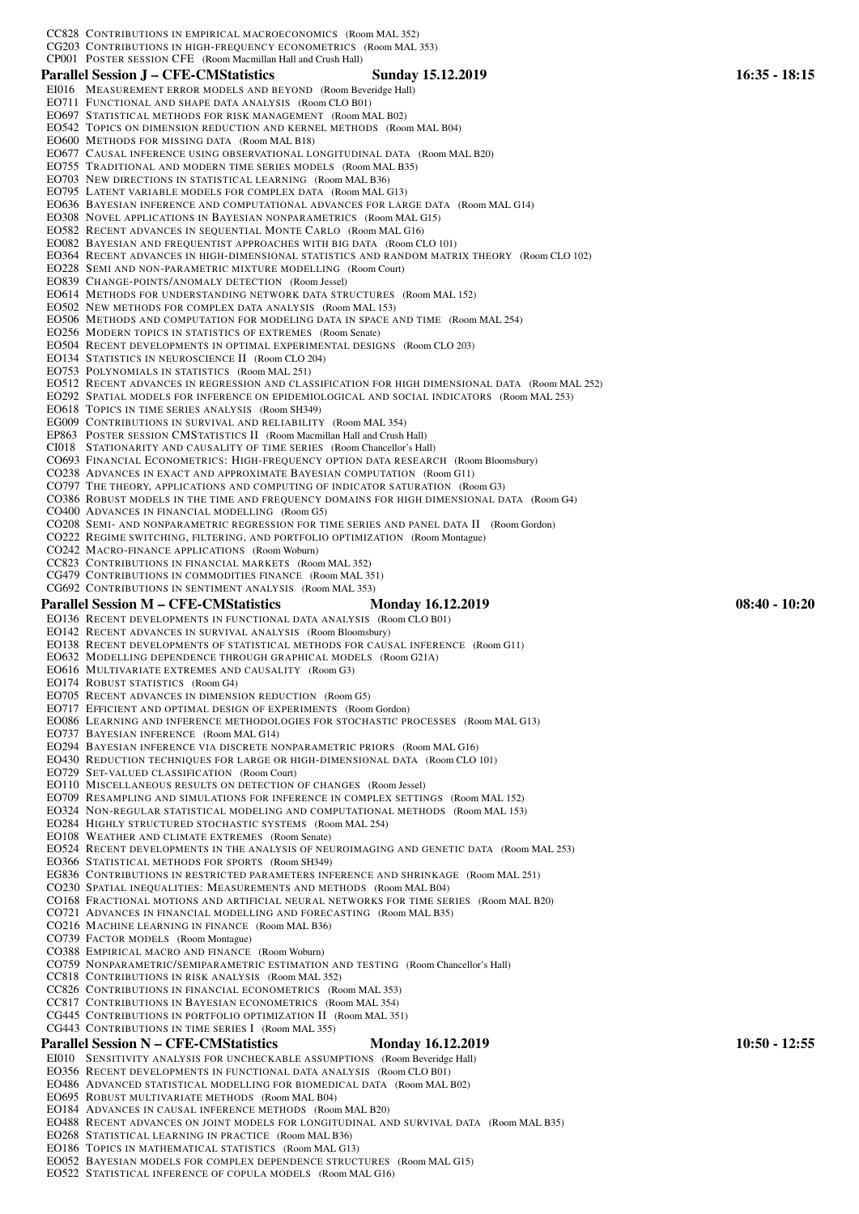CC828 CONTRIBUTIONS IN EMPIRICAL MACROECONOMICS (Room MAL 352)

EO755 TRADITIONAL AND MODERN TIME SERIES MODELS (Room MAL B35) EO703 NEW DIRECTIONS IN STATISTICAL LEARNING (Room MAL B36) EO795 LATENT VARIABLE MODELS FOR COMPLEX DATA (Room MAL G13)

EO228 SEMI AND NON-PARAMETRIC MIXTURE MODELLING (Room Court)

EO502 NEW METHODS FOR COMPLEX DATA ANALYSIS (Room MAL 153)

EO256 MODERN TOPICS IN STATISTICS OF EXTREMES (Room Senate)

EO308 NOVEL APPLICATIONS IN BAYESIAN NONPARAMETRICS (Room MAL G15) EO582 RECENT ADVANCES IN SEQUENTIAL MONTE CARLO (Room MAL G16) EO082 BAYESIAN AND FREQUENTIST APPROACHES WITH BIG DATA (Room CLO 101)

CG203 CONTRIBUTIONS IN HIGH-FREQUENCY ECONOMETRICS (Room MAL 353)

EO542 TOPICS ON DIMENSION REDUCTION AND KERNEL METHODS (Room MAL B04)

CP001 POSTER SESSION CFE (Room Macmillan Hall and Crush Hall)

EO600 METHODS FOR MISSING DATA (Room MAL B18)

EO711 FUNCTIONAL AND SHAPE DATA ANALYSIS (Room CLO B01) EO697 STATISTICAL METHODS FOR RISK MANAGEMENT (Room MAL B02)

## Parallel Session J – CFE-CMStatistics Sunday 15.12.2019 16:35 - 18:15

- EI016 MEASUREMENT ERROR MODELS AND BEYOND (Room Beveridge Hall)
- EO677 CAUSAL INFERENCE USING OBSERVATIONAL LONGITUDINAL DATA (Room MAL B20) EO636 BAYESIAN INFERENCE AND COMPUTATIONAL ADVANCES FOR LARGE DATA (Room MAL G14) EO364 RECENT ADVANCES IN HIGH-DIMENSIONAL STATISTICS AND RANDOM MATRIX THEORY (Room CLO 102) EO506 METHODS AND COMPUTATION FOR MODELING DATA IN SPACE AND TIME (Room MAL 254)
- EO504 RECENT DEVELOPMENTS IN OPTIMAL EXPERIMENTAL DESIGNS (Room CLO 203)

EO614 METHODS FOR UNDERSTANDING NETWORK DATA STRUCTURES (Room MAL 152)

EO134 STATISTICS IN NEUROSCIENCE II (Room CLO 204)

EO839 CHANGE-POINTS/ANOMALY DETECTION (Room Jessel)

- EO753 POLYNOMIALS IN STATISTICS (Room MAL 251)
- EO512 RECENT ADVANCES IN REGRESSION AND CLASSIFICATION FOR HIGH DIMENSIONAL DATA (Room MAL 252)
- EO292 SPATIAL MODELS FOR INFERENCE ON EPIDEMIOLOGICAL AND SOCIAL INDICATORS (Room MAL 253)
- EO618 TOPICS IN TIME SERIES ANALYSIS (Room SH349)
- EG009 CONTRIBUTIONS IN SURVIVAL AND RELIABILITY (Room MAL 354)
- EP863 POSTER SESSION CMSTATISTICS II (Room Macmillan Hall and Crush Hall)
- CI018 STATIONARITY AND CAUSALITY OF TIME SERIES (Room Chancellor's Hall)
- CO693 FINANCIAL ECONOMETRICS: HIGH-FREQUENCY OPTION DATA RESEARCH (Room Bloomsbury)
- CO238 ADVANCES IN EXACT AND APPROXIMATE BAYESIAN COMPUTATION (Room G11)
- CO797 THE THEORY, APPLICATIONS AND COMPUTING OF INDICATOR SATURATION (Room G3)
- CO386 ROBUST MODELS IN THE TIME AND FREQUENCY DOMAINS FOR HIGH DIMENSIONAL DATA (Room G4)
- CO400 ADVANCES IN FINANCIAL MODELLING (Room G5)
- CO208 SEMI- AND NONPARAMETRIC REGRESSION FOR TIME SERIES AND PANEL DATA II (Room Gordon)
- CO222 REGIME SWITCHING, FILTERING, AND PORTFOLIO OPTIMIZATION (Room Montague)
- CO242 MACRO-FINANCE APPLICATIONS (Room Woburn)
- CC823 CONTRIBUTIONS IN FINANCIAL MARKETS (Room MAL 352)
- CG479 CONTRIBUTIONS IN COMMODITIES FINANCE (Room MAL 351)
- CG692 CONTRIBUTIONS IN SENTIMENT ANALYSIS (Room MAL 353)

## Parallel Session M – CFE-CMStatistics Monday 16.12.2019 08:40 - 10:20

- EO136 RECENT DEVELOPMENTS IN FUNCTIONAL DATA ANALYSIS (Room CLO B01)
- EO142 RECENT ADVANCES IN SURVIVAL ANALYSIS (Room Bloomsbury)
- EO138 RECENT DEVELOPMENTS OF STATISTICAL METHODS FOR CAUSAL INFERENCE (Room G11)
- EO632 MODELLING DEPENDENCE THROUGH GRAPHICAL MODELS (Room G21A)
- EO616 MULTIVARIATE EXTREMES AND CAUSALITY (Room G3)
- EO174 ROBUST STATISTICS (Room G4)
- EO705 RECENT ADVANCES IN DIMENSION REDUCTION (Room G5)
- EO717 EFFICIENT AND OPTIMAL DESIGN OF EXPERIMENTS (Room Gordon)
- EO086 LEARNING AND INFERENCE METHODOLOGIES FOR STOCHASTIC PROCESSES (Room MAL G13)
- EO737 BAYESIAN INFERENCE (Room MAL G14)
- EO294 BAYESIAN INFERENCE VIA DISCRETE NONPARAMETRIC PRIORS (Room MAL G16)
- EO430 REDUCTION TECHNIQUES FOR LARGE OR HIGH-DIMENSIONAL DATA (Room CLO 101)
- EO729 SET-VALUED CLASSIFICATION (Room Court)
- EO110 MISCELLANEOUS RESULTS ON DETECTION OF CHANGES (Room Jessel)
- EO709 RESAMPLING AND SIMULATIONS FOR INFERENCE IN COMPLEX SETTINGS (Room MAL 152)
- EO324 NON-REGULAR STATISTICAL MODELING AND COMPUTATIONAL METHODS (Room MAL 153)
- EO284 HIGHLY STRUCTURED STOCHASTIC SYSTEMS (Room MAL 254)
- EO108 WEATHER AND CLIMATE EXTREMES (Room Senate)
- EO524 RECENT DEVELOPMENTS IN THE ANALYSIS OF NEUROIMAGING AND GENETIC DATA (Room MAL 253)
- EO366 STATISTICAL METHODS FOR SPORTS (Room SH349)
- EG836 CONTRIBUTIONS IN RESTRICTED PARAMETERS INFERENCE AND SHRINKAGE (Room MAL 251)
- CO230 SPATIAL INEQUALITIES: MEASUREMENTS AND METHODS (Room MAL B04)
- CO168 FRACTIONAL MOTIONS AND ARTIFICIAL NEURAL NETWORKS FOR TIME SERIES (Room MAL B20)
- CO721 ADVANCES IN FINANCIAL MODELLING AND FORECASTING (Room MAL B35)
- CO216 MACHINE LEARNING IN FINANCE (Room MAL B36)
- CO739 FACTOR MODELS (Room Montague)
- CO388 EMPIRICAL MACRO AND FINANCE (Room Woburn)
- CO759 NONPARAMETRIC/SEMIPARAMETRIC ESTIMATION AND TESTING (Room Chancellor's Hall)
- CC818 CONTRIBUTIONS IN RISK ANALYSIS (Room MAL 352)
- CC826 CONTRIBUTIONS IN FINANCIAL ECONOMETRICS (Room MAL 353)
- CC817 CONTRIBUTIONS IN BAYESIAN ECONOMETRICS (Room MAL 354)
- CG445 CONTRIBUTIONS IN PORTFOLIO OPTIMIZATION II (Room MAL 351)
- CG443 CONTRIBUTIONS IN TIME SERIES I (Room MAL 355)

## Parallel Session N – CFE-CMStatistics Monday 16.12.2019 10:50 - 12:55

- EI010 SENSITIVITY ANALYSIS FOR UNCHECKABLE ASSUMPTIONS (Room Beveridge Hall)
- EO356 RECENT DEVELOPMENTS IN FUNCTIONAL DATA ANALYSIS (Room CLO B01)
- EO486 ADVANCED STATISTICAL MODELLING FOR BIOMEDICAL DATA (Room MAL B02)
- EO695 ROBUST MULTIVARIATE METHODS (Room MAL B04)
- EO184 ADVANCES IN CAUSAL INFERENCE METHODS (Room MAL B20)
- EO488 RECENT ADVANCES ON JOINT MODELS FOR LONGITUDINAL AND SURVIVAL DATA (Room MAL B35)
- EO268 STATISTICAL LEARNING IN PRACTICE (Room MAL B36)
- EO186 TOPICS IN MATHEMATICAL STATISTICS (Room MAL G13)
- EO052 BAYESIAN MODELS FOR COMPLEX DEPENDENCE STRUCTURES (Room MAL G15)
- EO522 STATISTICAL INFERENCE OF COPULA MODELS (Room MAL G16)